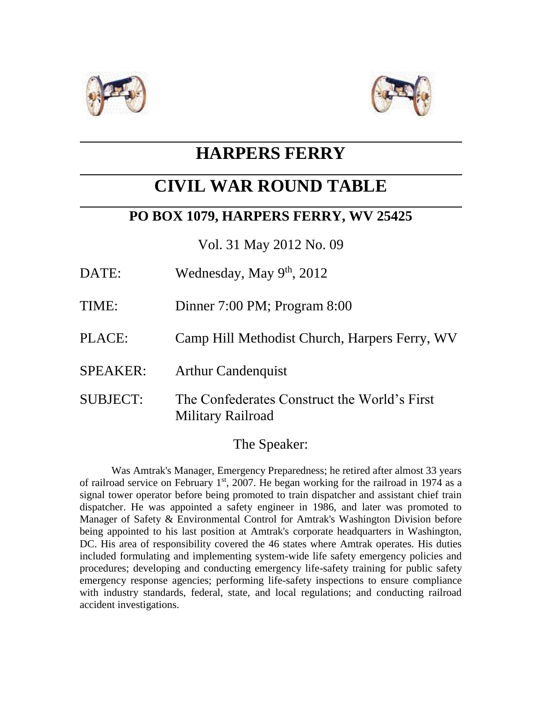



## **HARPERS FERRY**

# **CIVIL WAR ROUND TABLE**

## **PO BOX 1079, HARPERS FERRY, WV 25425**

Vol. 31 May 2012 No. 09

- DATE: Wednesday, May 9<sup>th</sup>, 2012
- TIME: Dinner 7:00 PM; Program 8:00
- PLACE: Camp Hill Methodist Church, Harpers Ferry, WV
- SPEAKER: Arthur Candenquist
- SUBJECT: The Confederates Construct the World's First Military Railroad

## The Speaker:

Was Amtrak's Manager, Emergency Preparedness; he retired after almost 33 years of railroad service on February  $1<sup>st</sup>$ , 2007. He began working for the railroad in 1974 as a signal tower operator before being promoted to train dispatcher and assistant chief train dispatcher. He was appointed a safety engineer in 1986, and later was promoted to Manager of Safety & Environmental Control for Amtrak's Washington Division before being appointed to his last position at Amtrak's corporate headquarters in Washington, DC. His area of responsibility covered the 46 states where Amtrak operates. His duties included formulating and implementing system-wide life safety emergency policies and procedures; developing and conducting emergency life-safety training for public safety emergency response agencies; performing life-safety inspections to ensure compliance with industry standards, federal, state, and local regulations; and conducting railroad accident investigations.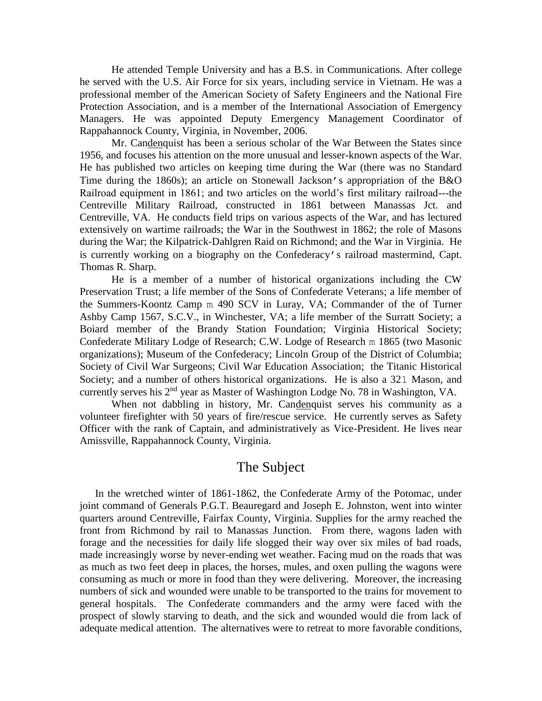He attended Temple University and has a B.S. in Communications. After college he served with the U.S. Air Force for six years, including service in Vietnam. He was a professional member of the American Society of Safety Engineers and the National Fire Protection Association, and is a member of the International Association of Emergency Managers. He was appointed Deputy Emergency Management Coordinator of Rappahannock County, Virginia, in November, 2006.

Mr. Candenquist has been a serious scholar of the War Between the States since 1956, and focuses his attention on the more unusual and lesser-known aspects of the War. He has published two articles on keeping time during the War (there was no Standard Time during the 1860s); an article on Stonewall Jackson's appropriation of the B&O Railroad equipment in 1861; and two articles on the world's first military railroad---the Centreville Military Railroad, constructed in 1861 between Manassas Jct. and Centreville, VA. He conducts field trips on various aspects of the War, and has lectured extensively on wartime railroads; the War in the Southwest in 1862; the role of Masons during the War; the Kilpatrick-Dahlgren Raid on Richmond; and the War in Virginia. He is currently working on a biography on the Confederacy's railroad mastermind, Capt. Thomas R. Sharp.

He is a member of a number of historical organizations including the CW Preservation Trust; a life member of the Sons of Confederate Veterans; a life member of the Summers-Koontz Camp m 490 SCV in Luray, VA; Commander of the of Turner Ashby Camp 1567, S.C.V., in Winchester, VA; a life member of the Surratt Society; a Boiard member of the Brandy Station Foundation; Virginia Historical Society; Confederate Military Lodge of Research; C.W. Lodge of Research m 1865 (two Masonic organizations); Museum of the Confederacy; Lincoln Group of the District of Columbia; Society of Civil War Surgeons; Civil War Education Association; the Titanic Historical Society; and a number of others historical organizations. He is also a 321 Mason, and currently serves his 2nd year as Master of Washington Lodge No. 78 in Washington, VA.

When not dabbling in history, Mr. Candenquist serves his community as a volunteer firefighter with 50 years of fire/rescue service. He currently serves as Safety Officer with the rank of Captain, and administratively as Vice-President. He lives near Amissville, Rappahannock County, Virginia.

#### The Subject

 In the wretched winter of 1861-1862, the Confederate Army of the Potomac, under joint command of Generals P.G.T. Beauregard and Joseph E. Johnston, went into winter quarters around Centreville, Fairfax County, Virginia. Supplies for the army reached the front from Richmond by rail to Manassas Junction. From there, wagons laden with forage and the necessities for daily life slogged their way over six miles of bad roads, made increasingly worse by never-ending wet weather. Facing mud on the roads that was as much as two feet deep in places, the horses, mules, and oxen pulling the wagons were consuming as much or more in food than they were delivering. Moreover, the increasing numbers of sick and wounded were unable to be transported to the trains for movement to general hospitals. The Confederate commanders and the army were faced with the prospect of slowly starving to death, and the sick and wounded would die from lack of adequate medical attention. The alternatives were to retreat to more favorable conditions,